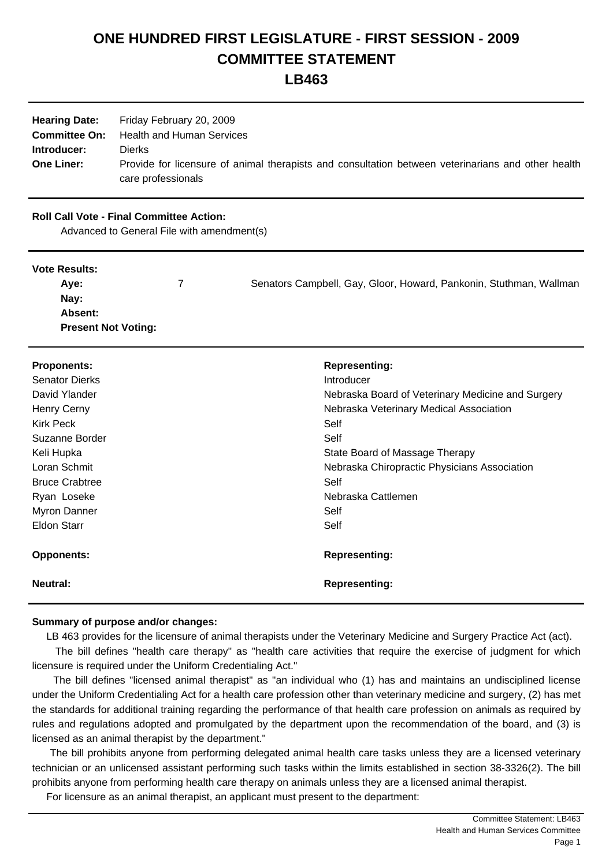# **ONE HUNDRED FIRST LEGISLATURE - FIRST SESSION - 2009 COMMITTEE STATEMENT**

# **LB463**

|                   | <b>Hearing Date:</b> Friday February 20, 2009                                                      |
|-------------------|----------------------------------------------------------------------------------------------------|
|                   | <b>Committee On:</b> Health and Human Services                                                     |
| Introducer:       | <b>Dierks</b>                                                                                      |
| <b>One Liner:</b> | Provide for licensure of animal therapists and consultation between veterinarians and other health |
|                   | care professionals                                                                                 |

## **Roll Call Vote - Final Committee Action:**

Advanced to General File with amendment(s)

#### **Vote Results:**

| Ave:                       | Senators Campbell, Gay, Gloor, Howard, Pankonin, Stuthman, Wallman |
|----------------------------|--------------------------------------------------------------------|
| Nay:                       |                                                                    |
| <b>Absent:</b>             |                                                                    |
| <b>Present Not Voting:</b> |                                                                    |

| <b>Proponents:</b><br><b>Senator Dierks</b><br>David Ylander<br><b>Henry Cerny</b><br><b>Kirk Peck</b><br>Suzanne Border<br>Keli Hupka<br>Loran Schmit<br><b>Bruce Crabtree</b><br>Ryan Loseke<br><b>Myron Danner</b><br>Eldon Starr | <b>Representing:</b><br>Introducer<br>Nebraska Board of Veterinary Medicine and Surgery<br>Nebraska Veterinary Medical Association<br>Self<br>Self<br>State Board of Massage Therapy<br>Nebraska Chiropractic Physicians Association<br>Self<br>Nebraska Cattlemen<br>Self<br>Self |
|--------------------------------------------------------------------------------------------------------------------------------------------------------------------------------------------------------------------------------------|------------------------------------------------------------------------------------------------------------------------------------------------------------------------------------------------------------------------------------------------------------------------------------|
| <b>Opponents:</b>                                                                                                                                                                                                                    | <b>Representing:</b>                                                                                                                                                                                                                                                               |
| Neutral:                                                                                                                                                                                                                             | <b>Representing:</b>                                                                                                                                                                                                                                                               |

## **Summary of purpose and/or changes:**

LB 463 provides for the licensure of animal therapists under the Veterinary Medicine and Surgery Practice Act (act).

 The bill defines "health care therapy" as "health care activities that require the exercise of judgment for which licensure is required under the Uniform Credentialing Act."

 The bill defines "licensed animal therapist" as "an individual who (1) has and maintains an undisciplined license under the Uniform Credentialing Act for a health care profession other than veterinary medicine and surgery, (2) has met the standards for additional training regarding the performance of that health care profession on animals as required by rules and regulations adopted and promulgated by the department upon the recommendation of the board, and (3) is licensed as an animal therapist by the department."

 The bill prohibits anyone from performing delegated animal health care tasks unless they are a licensed veterinary technician or an unlicensed assistant performing such tasks within the limits established in section 38-3326(2). The bill prohibits anyone from performing health care therapy on animals unless they are a licensed animal therapist.

For licensure as an animal therapist, an applicant must present to the department: